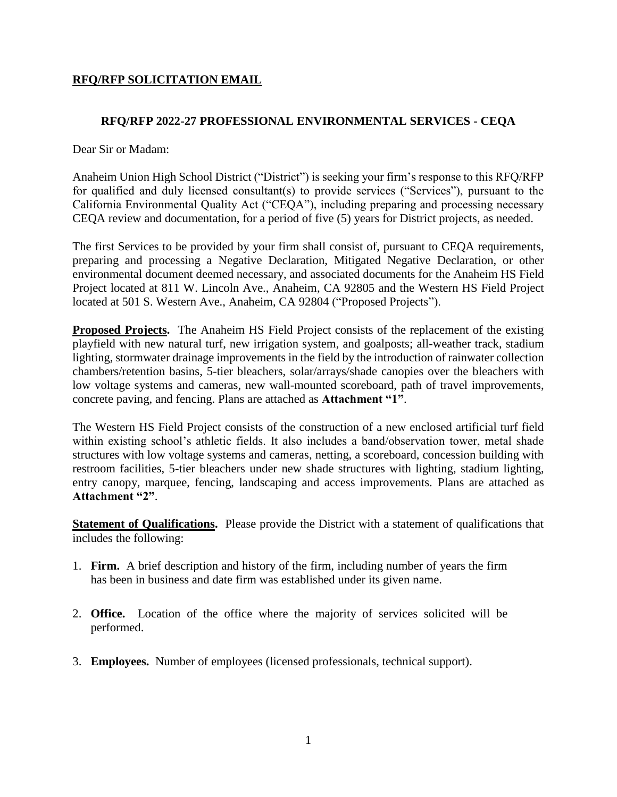## **RFQ/RFP SOLICITATION EMAIL**

## **RFQ/RFP 2022-27 PROFESSIONAL ENVIRONMENTAL SERVICES - CEQA**

Dear Sir or Madam:

Anaheim Union High School District ("District") is seeking your firm's response to this RFQ/RFP for qualified and duly licensed consultant(s) to provide services ("Services"), pursuant to the California Environmental Quality Act ("CEQA"), including preparing and processing necessary CEQA review and documentation, for a period of five (5) years for District projects, as needed.

The first Services to be provided by your firm shall consist of, pursuant to CEQA requirements, preparing and processing a Negative Declaration, Mitigated Negative Declaration, or other environmental document deemed necessary, and associated documents for the Anaheim HS Field Project located at 811 W. Lincoln Ave., Anaheim, CA 92805 and the Western HS Field Project located at 501 S. Western Ave., Anaheim, CA 92804 ("Proposed Projects").

**Proposed Projects.** The Anaheim HS Field Project consists of the replacement of the existing playfield with new natural turf, new irrigation system, and goalposts; all-weather track, stadium lighting, stormwater drainage improvements in the field by the introduction of rainwater collection chambers/retention basins, 5-tier bleachers, solar/arrays/shade canopies over the bleachers with low voltage systems and cameras, new wall-mounted scoreboard, path of travel improvements, concrete paving, and fencing. Plans are attached as **Attachment "1"**.

The Western HS Field Project consists of the construction of a new enclosed artificial turf field within existing school's athletic fields. It also includes a band/observation tower, metal shade structures with low voltage systems and cameras, netting, a scoreboard, concession building with restroom facilities, 5-tier bleachers under new shade structures with lighting, stadium lighting, entry canopy, marquee, fencing, landscaping and access improvements. Plans are attached as **Attachment "2"**.

**Statement of Qualifications.** Please provide the District with a statement of qualifications that includes the following:

- 1. **Firm.** A brief description and history of the firm, including number of years the firm has been in business and date firm was established under its given name.
- 2. **Office.** Location of the office where the majority of services solicited will be performed.
- 3. **Employees.** Number of employees (licensed professionals, technical support).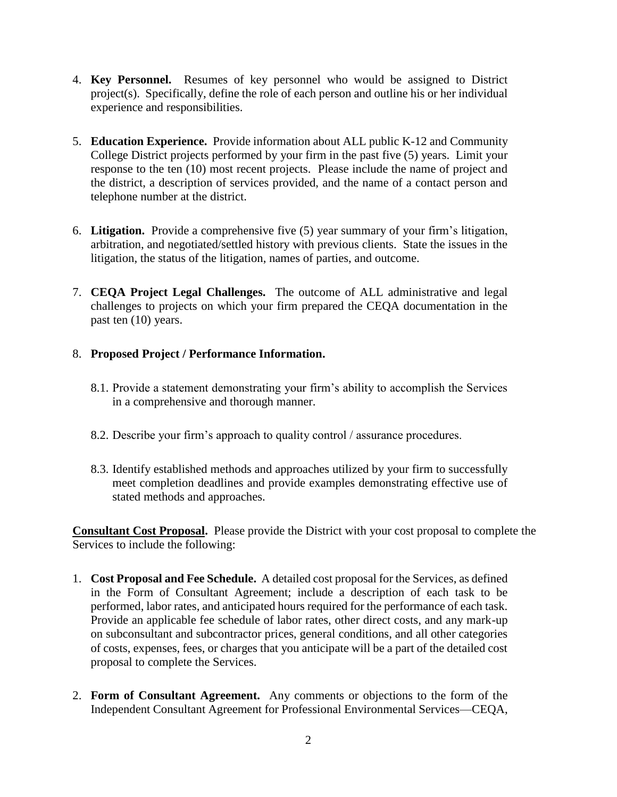- 4. **Key Personnel.** Resumes of key personnel who would be assigned to District project(s). Specifically, define the role of each person and outline his or her individual experience and responsibilities.
- 5. **Education Experience.** Provide information about ALL public K-12 and Community College District projects performed by your firm in the past five (5) years. Limit your response to the ten (10) most recent projects. Please include the name of project and the district, a description of services provided, and the name of a contact person and telephone number at the district.
- 6. **Litigation.** Provide a comprehensive five (5) year summary of your firm's litigation, arbitration, and negotiated/settled history with previous clients. State the issues in the litigation, the status of the litigation, names of parties, and outcome.
- 7. **CEQA Project Legal Challenges.** The outcome of ALL administrative and legal challenges to projects on which your firm prepared the CEQA documentation in the past ten (10) years.

## 8. **Proposed Project / Performance Information.**

- 8.1. Provide a statement demonstrating your firm's ability to accomplish the Services in a comprehensive and thorough manner.
- 8.2. Describe your firm's approach to quality control / assurance procedures.
- 8.3. Identify established methods and approaches utilized by your firm to successfully meet completion deadlines and provide examples demonstrating effective use of stated methods and approaches.

**Consultant Cost Proposal.** Please provide the District with your cost proposal to complete the Services to include the following:

- 1. **Cost Proposal and Fee Schedule.** A detailed cost proposal for the Services, as defined in the Form of Consultant Agreement; include a description of each task to be performed, labor rates, and anticipated hours required for the performance of each task. Provide an applicable fee schedule of labor rates, other direct costs, and any mark-up on subconsultant and subcontractor prices, general conditions, and all other categories of costs, expenses, fees, or charges that you anticipate will be a part of the detailed cost proposal to complete the Services.
- 2. **Form of Consultant Agreement.** Any comments or objections to the form of the Independent Consultant Agreement for Professional Environmental Services—CEQA,